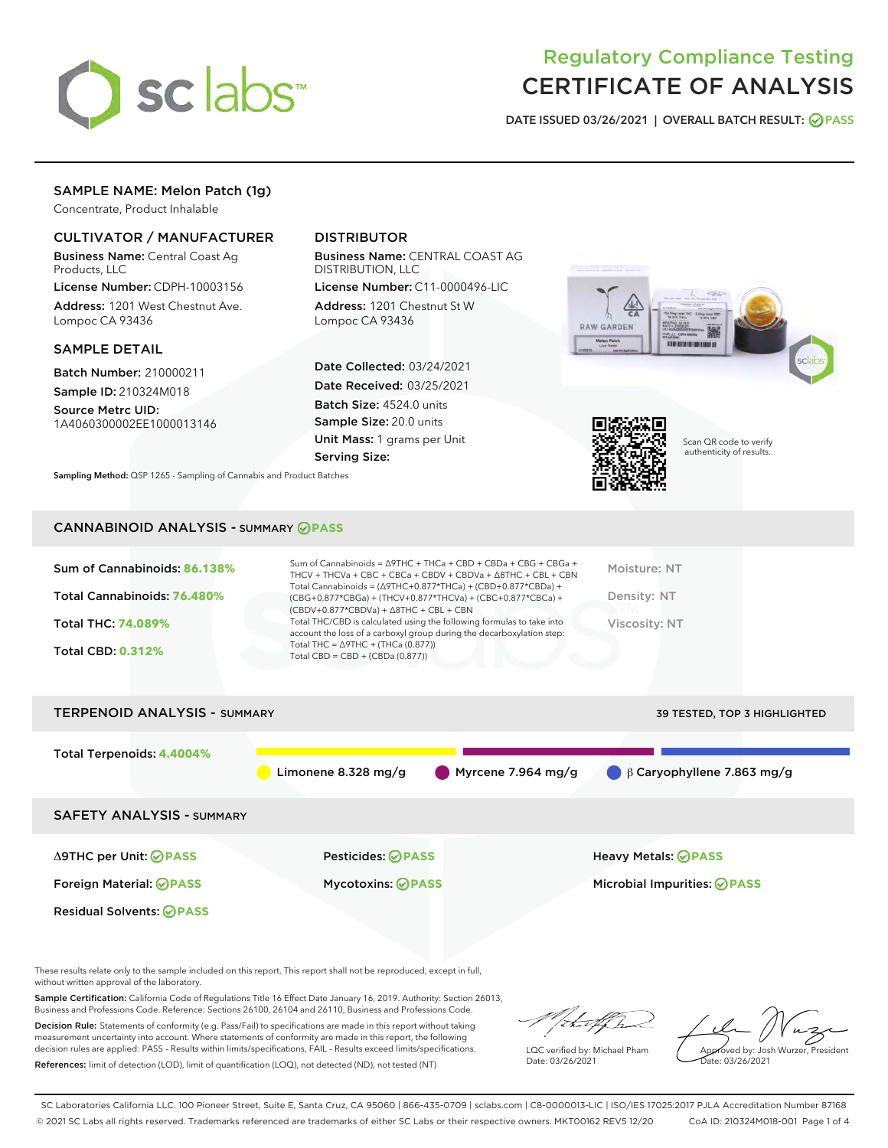

# Regulatory Compliance Testing CERTIFICATE OF ANALYSIS

DATE ISSUED 03/26/2021 | OVERALL BATCH RESULT: @ PASS

# SAMPLE NAME: Melon Patch (1g)

Concentrate, Product Inhalable

# CULTIVATOR / MANUFACTURER

Business Name: Central Coast Ag Products, LLC

License Number: CDPH-10003156 Address: 1201 West Chestnut Ave. Lompoc CA 93436

## SAMPLE DETAIL

Batch Number: 210000211 Sample ID: 210324M018

Source Metrc UID: 1A4060300002EE1000013146

# DISTRIBUTOR

Business Name: CENTRAL COAST AG DISTRIBUTION, LLC

License Number: C11-0000496-LIC Address: 1201 Chestnut St W Lompoc CA 93436

Date Collected: 03/24/2021 Date Received: 03/25/2021 Batch Size: 4524.0 units Sample Size: 20.0 units Unit Mass: 1 grams per Unit Serving Size:





Scan QR code to verify authenticity of results.

CANNABINOID ANALYSIS - SUMMARY **PASS**

Sampling Method: QSP 1265 - Sampling of Cannabis and Product Batches

| Sum of Cannabinoids: 86.138% | Sum of Cannabinoids = $\triangle$ 9THC + THCa + CBD + CBDa + CBG + CBGa +<br>THCV + THCVa + CBC + CBCa + CBDV + CBDVa + $\Delta$ 8THC + CBL + CBN                                    | Moisture: NT  |
|------------------------------|--------------------------------------------------------------------------------------------------------------------------------------------------------------------------------------|---------------|
| Total Cannabinoids: 76.480%  | Total Cannabinoids = $(\Delta$ 9THC+0.877*THCa) + (CBD+0.877*CBDa) +<br>(CBG+0.877*CBGa) + (THCV+0.877*THCVa) + (CBC+0.877*CBCa) +<br>$(CBDV+0.877*CBDVa) + \Delta 8THC + CBL + CBN$ | Density: NT   |
| <b>Total THC: 74.089%</b>    | Total THC/CBD is calculated using the following formulas to take into<br>account the loss of a carboxyl group during the decarboxylation step:                                       | Viscosity: NT |
| <b>Total CBD: 0.312%</b>     | Total THC = $\triangle$ 9THC + (THCa (0.877))<br>Total CBD = $CBD + (CBDa (0.877))$                                                                                                  |               |
|                              |                                                                                                                                                                                      |               |

TERPENOID ANALYSIS - SUMMARY 39 TESTED, TOP 3 HIGHLIGHTED Total Terpenoids: **4.4004%** Limonene 8.328 mg/g Myrcene 7.964 mg/g β Caryophyllene 7.863 mg/g SAFETY ANALYSIS - SUMMARY Δ9THC per Unit: **PASS** Pesticides: **PASS** Heavy Metals: **PASS** Foreign Material: **PASS** Mycotoxins: **PASS** Microbial Impurities: **PASS** Residual Solvents: **PASS** 

These results relate only to the sample included on this report. This report shall not be reproduced, except in full, without written approval of the laboratory.

Sample Certification: California Code of Regulations Title 16 Effect Date January 16, 2019. Authority: Section 26013, Business and Professions Code. Reference: Sections 26100, 26104 and 26110, Business and Professions Code.

Decision Rule: Statements of conformity (e.g. Pass/Fail) to specifications are made in this report without taking measurement uncertainty into account. Where statements of conformity are made in this report, the following decision rules are applied: PASS – Results within limits/specifications, FAIL – Results exceed limits/specifications. References: limit of detection (LOD), limit of quantification (LOQ), not detected (ND), not tested (NT)

:t.aff h

LQC verified by: Michael Pham Date: 03/26/2021

Approved by: Josh Wurzer, President ate: 03/26/2021

SC Laboratories California LLC. 100 Pioneer Street, Suite E, Santa Cruz, CA 95060 | 866-435-0709 | sclabs.com | C8-0000013-LIC | ISO/IES 17025:2017 PJLA Accreditation Number 87168 © 2021 SC Labs all rights reserved. Trademarks referenced are trademarks of either SC Labs or their respective owners. MKT00162 REV5 12/20 CoA ID: 210324M018-001 Page 1 of 4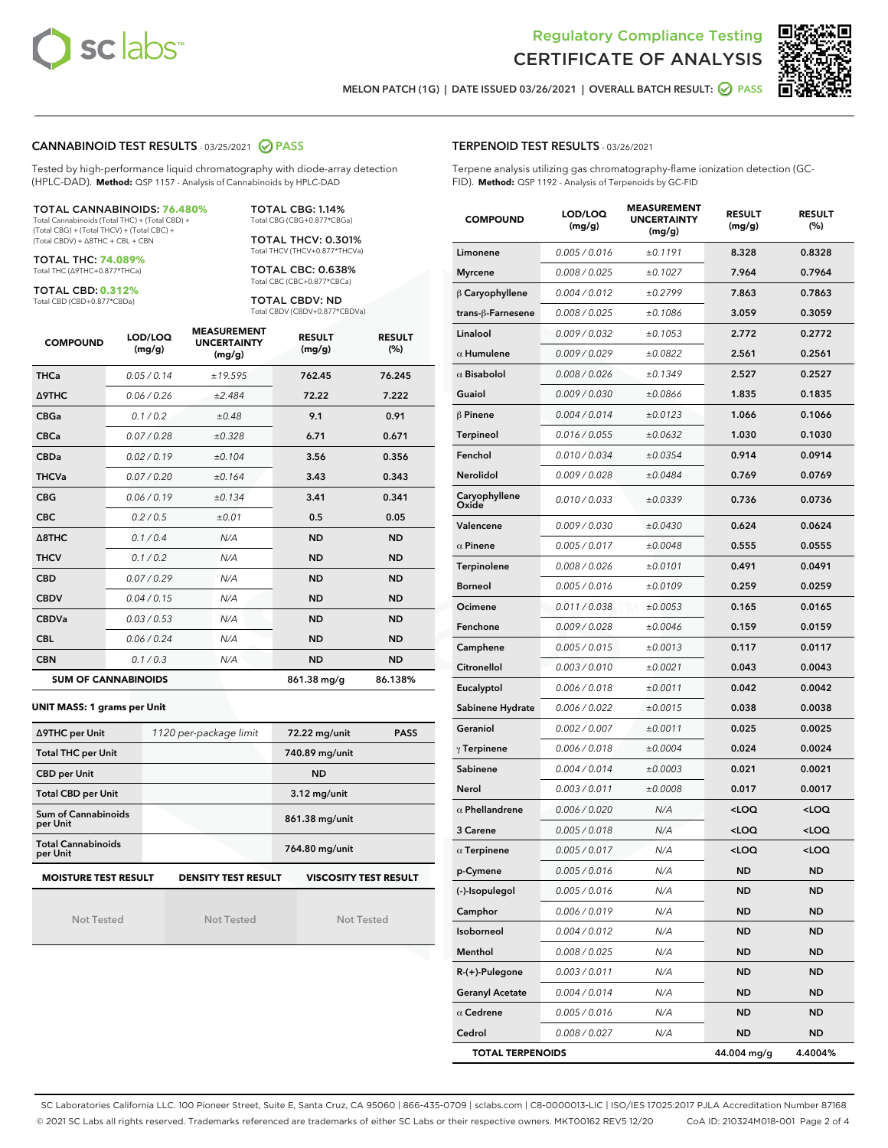



MELON PATCH (1G) | DATE ISSUED 03/26/2021 | OVERALL BATCH RESULT: @ PASS

## CANNABINOID TEST RESULTS - 03/25/2021 @ PASS

Tested by high-performance liquid chromatography with diode-array detection (HPLC-DAD). **Method:** QSP 1157 - Analysis of Cannabinoids by HPLC-DAD

TOTAL CANNABINOIDS: **76.480%**

Total Cannabinoids (Total THC) + (Total CBD) + (Total CBG) + (Total THCV) + (Total CBC) + (Total CBDV) + ∆8THC + CBL + CBN

TOTAL THC: **74.089%** Total THC (∆9THC+0.877\*THCa)

TOTAL CBD: **0.312%**

Total CBD (CBD+0.877\*CBDa)

TOTAL CBG: 1.14% Total CBG (CBG+0.877\*CBGa)

TOTAL THCV: 0.301% Total THCV (THCV+0.877\*THCVa)

TOTAL CBC: 0.638% Total CBC (CBC+0.877\*CBCa)

TOTAL CBDV: ND Total CBDV (CBDV+0.877\*CBDVa)

| <b>COMPOUND</b>  | LOD/LOQ<br>(mg/g)          | <b>MEASUREMENT</b><br><b>UNCERTAINTY</b><br>(mg/g) | <b>RESULT</b><br>(mg/g) | <b>RESULT</b><br>(%) |
|------------------|----------------------------|----------------------------------------------------|-------------------------|----------------------|
| <b>THCa</b>      | 0.05/0.14                  | ±19.595                                            | 762.45                  | 76.245               |
| <b>A9THC</b>     | 0.06 / 0.26                | ±2.484                                             | 72.22                   | 7.222                |
| <b>CBGa</b>      | 0.1/0.2                    | ±0.48                                              | 9.1                     | 0.91                 |
| <b>CBCa</b>      | 0.07/0.28                  | ±0.328                                             | 6.71                    | 0.671                |
| <b>CBDa</b>      | 0.02/0.19                  | ±0.104                                             | 3.56                    | 0.356                |
| <b>THCVa</b>     | 0.07 / 0.20                | ±0.164                                             | 3.43                    | 0.343                |
| <b>CBG</b>       | 0.06/0.19                  | ±0.134                                             | 3.41                    | 0.341                |
| <b>CBC</b>       | 0.2 / 0.5                  | ±0.01                                              | 0.5                     | 0.05                 |
| $\triangle$ 8THC | 0.1 / 0.4                  | N/A                                                | <b>ND</b>               | <b>ND</b>            |
| <b>THCV</b>      | 0.1/0.2                    | N/A                                                | <b>ND</b>               | <b>ND</b>            |
| <b>CBD</b>       | 0.07/0.29                  | N/A                                                | <b>ND</b>               | <b>ND</b>            |
| <b>CBDV</b>      | 0.04 / 0.15                | N/A                                                | <b>ND</b>               | <b>ND</b>            |
| <b>CBDVa</b>     | 0.03/0.53                  | N/A                                                | <b>ND</b>               | <b>ND</b>            |
| <b>CBL</b>       | 0.06 / 0.24                | N/A                                                | <b>ND</b>               | <b>ND</b>            |
| <b>CBN</b>       | 0.1 / 0.3                  | N/A                                                | <b>ND</b>               | <b>ND</b>            |
|                  | <b>SUM OF CANNABINOIDS</b> |                                                    | 861.38 mg/g             | 86.138%              |

#### **UNIT MASS: 1 grams per Unit**

| ∆9THC per Unit                        | 1120 per-package limit     | 72.22 mg/unit<br><b>PASS</b> |
|---------------------------------------|----------------------------|------------------------------|
| <b>Total THC per Unit</b>             |                            | 740.89 mg/unit               |
| <b>CBD</b> per Unit                   |                            | <b>ND</b>                    |
| <b>Total CBD per Unit</b>             |                            | $3.12$ mg/unit               |
| Sum of Cannabinoids<br>per Unit       |                            | 861.38 mg/unit               |
| <b>Total Cannabinoids</b><br>per Unit |                            | 764.80 mg/unit               |
| <b>MOISTURE TEST RESULT</b>           | <b>DENSITY TEST RESULT</b> | <b>VISCOSITY TEST RESULT</b> |

Not Tested

Not Tested

Not Tested

## TERPENOID TEST RESULTS - 03/26/2021

Terpene analysis utilizing gas chromatography-flame ionization detection (GC-FID). **Method:** QSP 1192 - Analysis of Terpenoids by GC-FID

| <b>COMPOUND</b>         | LOD/LOQ<br>(mg/g) | <b>MEASUREMENT</b><br><b>UNCERTAINTY</b><br>(mg/g) | <b>RESULT</b><br>(mg/g)                         | <b>RESULT</b><br>$(\%)$ |
|-------------------------|-------------------|----------------------------------------------------|-------------------------------------------------|-------------------------|
| Limonene                | 0.005 / 0.016     | ±0.1191                                            | 8.328                                           | 0.8328                  |
| <b>Myrcene</b>          | 0.008 / 0.025     | ±0.1027                                            | 7.964                                           | 0.7964                  |
| $\beta$ Caryophyllene   | 0.004 / 0.012     | ±0.2799                                            | 7.863                                           | 0.7863                  |
| trans-ß-Farnesene       | 0.008 / 0.025     | ±0.1086                                            | 3.059                                           | 0.3059                  |
| Linalool                | 0.009 / 0.032     | ±0.1053                                            | 2.772                                           | 0.2772                  |
| $\alpha$ Humulene       | 0.009/0.029       | ±0.0822                                            | 2.561                                           | 0.2561                  |
| $\alpha$ Bisabolol      | 0.008 / 0.026     | ±0.1349                                            | 2.527                                           | 0.2527                  |
| Guaiol                  | 0.009 / 0.030     | ±0.0866                                            | 1.835                                           | 0.1835                  |
| $\beta$ Pinene          | 0.004 / 0.014     | ±0.0123                                            | 1.066                                           | 0.1066                  |
| Terpineol               | 0.016 / 0.055     | ±0.0632                                            | 1.030                                           | 0.1030                  |
| Fenchol                 | 0.010 / 0.034     | ±0.0354                                            | 0.914                                           | 0.0914                  |
| Nerolidol               | 0.009 / 0.028     | ±0.0484                                            | 0.769                                           | 0.0769                  |
| Caryophyllene<br>Oxide  | 0.010 / 0.033     | ±0.0339                                            | 0.736                                           | 0.0736                  |
| Valencene               | 0.009 / 0.030     | ±0.0430                                            | 0.624                                           | 0.0624                  |
| $\alpha$ Pinene         | 0.005 / 0.017     | ±0.0048                                            | 0.555                                           | 0.0555                  |
| <b>Terpinolene</b>      | 0.008 / 0.026     | ±0.0101                                            | 0.491                                           | 0.0491                  |
| <b>Borneol</b>          | 0.005 / 0.016     | ±0.0109                                            | 0.259                                           | 0.0259                  |
| Ocimene                 | 0.011 / 0.038     | ±0.0053                                            | 0.165                                           | 0.0165                  |
| Fenchone                | 0.009 / 0.028     | ±0.0046                                            | 0.159                                           | 0.0159                  |
| Camphene                | 0.005 / 0.015     | ±0.0013                                            | 0.117                                           | 0.0117                  |
| Citronellol             | 0.003 / 0.010     | ±0.0021                                            | 0.043                                           | 0.0043                  |
| Eucalyptol              | 0.006 / 0.018     | ±0.0011                                            | 0.042                                           | 0.0042                  |
| Sabinene Hydrate        | 0.006 / 0.022     | ±0.0015                                            | 0.038                                           | 0.0038                  |
| Geraniol                | 0.002 / 0.007     | ±0.0011                                            | 0.025                                           | 0.0025                  |
| $\gamma$ Terpinene      | 0.006 / 0.018     | ±0.0004                                            | 0.024                                           | 0.0024                  |
| Sabinene                | 0.004 / 0.014     | ±0.0003                                            | 0.021                                           | 0.0021                  |
| Nerol                   | 0.003 / 0.011     | ±0.0008                                            | 0.017                                           | 0.0017                  |
| $\alpha$ Phellandrene   | 0.006 / 0.020     | N/A                                                | <loq< th=""><th><loq< th=""></loq<></th></loq<> | <loq< th=""></loq<>     |
| 3 Carene                | 0.005 / 0.018     | N/A                                                | <loq< th=""><th><loq< th=""></loq<></th></loq<> | <loq< th=""></loq<>     |
| $\alpha$ Terpinene      | 0.005 / 0.017     | N/A                                                | < 0                                             | $\sim$ 0.0              |
| p-Cymene                | 0.005 / 0.016     | N/A                                                | ND                                              | ND                      |
| (-)-Isopulegol          | 0.005 / 0.016     | N/A                                                | ND                                              | ND                      |
| Camphor                 | 0.006 / 0.019     | N/A                                                | ND                                              | <b>ND</b>               |
| Isoborneol              | 0.004 / 0.012     | N/A                                                | ND                                              | ND                      |
| Menthol                 | 0.008 / 0.025     | N/A                                                | ND                                              | ND                      |
| R-(+)-Pulegone          | 0.003 / 0.011     | N/A                                                | ND                                              | ND                      |
| <b>Geranyl Acetate</b>  | 0.004 / 0.014     | N/A                                                | ND                                              | ND                      |
| $\alpha$ Cedrene        | 0.005 / 0.016     | N/A                                                | ND                                              | ND                      |
| Cedrol                  | 0.008 / 0.027     | N/A                                                | ND                                              | <b>ND</b>               |
| <b>TOTAL TERPENOIDS</b> |                   |                                                    | 44.004 mg/g                                     | 4.4004%                 |

SC Laboratories California LLC. 100 Pioneer Street, Suite E, Santa Cruz, CA 95060 | 866-435-0709 | sclabs.com | C8-0000013-LIC | ISO/IES 17025:2017 PJLA Accreditation Number 87168 © 2021 SC Labs all rights reserved. Trademarks referenced are trademarks of either SC Labs or their respective owners. MKT00162 REV5 12/20 CoA ID: 210324M018-001 Page 2 of 4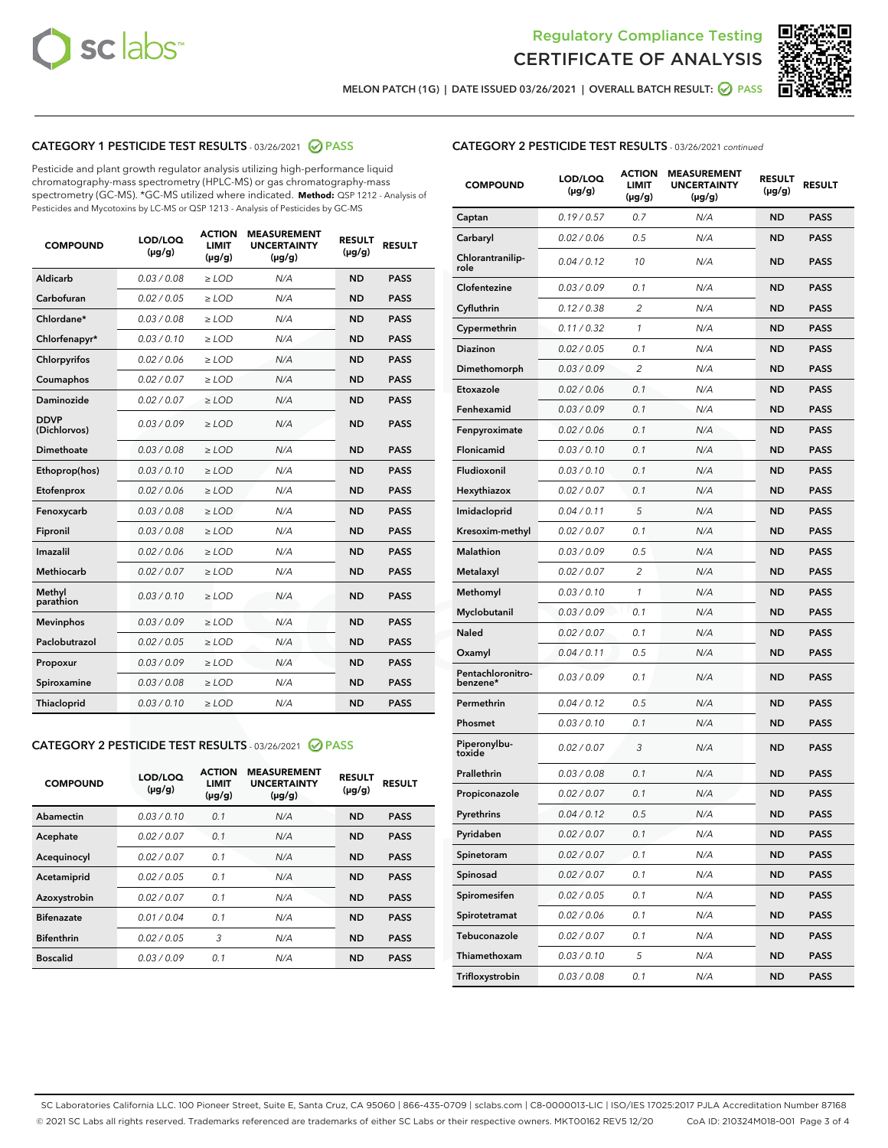



MELON PATCH (1G) | DATE ISSUED 03/26/2021 | OVERALL BATCH RESULT:  $\bigcirc$  PASS

# CATEGORY 1 PESTICIDE TEST RESULTS - 03/26/2021 2 PASS

Pesticide and plant growth regulator analysis utilizing high-performance liquid chromatography-mass spectrometry (HPLC-MS) or gas chromatography-mass spectrometry (GC-MS). \*GC-MS utilized where indicated. **Method:** QSP 1212 - Analysis of Pesticides and Mycotoxins by LC-MS or QSP 1213 - Analysis of Pesticides by GC-MS

| <b>COMPOUND</b>             | LOD/LOQ<br>$(\mu g/g)$ | <b>ACTION</b><br><b>LIMIT</b><br>$(\mu g/g)$ | <b>MEASUREMENT</b><br><b>UNCERTAINTY</b><br>$(\mu g/g)$ | <b>RESULT</b><br>$(\mu g/g)$ | <b>RESULT</b> |
|-----------------------------|------------------------|----------------------------------------------|---------------------------------------------------------|------------------------------|---------------|
| Aldicarb                    | 0.03 / 0.08            | $\ge$ LOD                                    | N/A                                                     | <b>ND</b>                    | <b>PASS</b>   |
| Carbofuran                  | 0.02/0.05              | $>$ LOD                                      | N/A                                                     | <b>ND</b>                    | <b>PASS</b>   |
| Chlordane*                  | 0.03 / 0.08            | $\ge$ LOD                                    | N/A                                                     | <b>ND</b>                    | <b>PASS</b>   |
| Chlorfenapyr*               | 0.03/0.10              | $\geq$ LOD                                   | N/A                                                     | <b>ND</b>                    | <b>PASS</b>   |
| Chlorpyrifos                | 0.02 / 0.06            | $\ge$ LOD                                    | N/A                                                     | <b>ND</b>                    | <b>PASS</b>   |
| Coumaphos                   | 0.02/0.07              | $>$ LOD                                      | N/A                                                     | <b>ND</b>                    | <b>PASS</b>   |
| <b>Daminozide</b>           | 0.02 / 0.07            | $\ge$ LOD                                    | N/A                                                     | <b>ND</b>                    | <b>PASS</b>   |
| <b>DDVP</b><br>(Dichlorvos) | 0.03/0.09              | $\ge$ LOD                                    | N/A                                                     | <b>ND</b>                    | <b>PASS</b>   |
| <b>Dimethoate</b>           | 0.03 / 0.08            | $\ge$ LOD                                    | N/A                                                     | <b>ND</b>                    | <b>PASS</b>   |
| Ethoprop(hos)               | 0.03/0.10              | $\ge$ LOD                                    | N/A                                                     | <b>ND</b>                    | <b>PASS</b>   |
| Etofenprox                  | 0.02 / 0.06            | $\ge$ LOD                                    | N/A                                                     | <b>ND</b>                    | <b>PASS</b>   |
| Fenoxycarb                  | 0.03 / 0.08            | $\ge$ LOD                                    | N/A                                                     | <b>ND</b>                    | <b>PASS</b>   |
| Fipronil                    | 0.03/0.08              | $>$ LOD                                      | N/A                                                     | <b>ND</b>                    | <b>PASS</b>   |
| Imazalil                    | 0.02 / 0.06            | $\ge$ LOD                                    | N/A                                                     | <b>ND</b>                    | <b>PASS</b>   |
| Methiocarb                  | 0.02 / 0.07            | $\ge$ LOD                                    | N/A                                                     | <b>ND</b>                    | <b>PASS</b>   |
| Methyl<br>parathion         | 0.03/0.10              | $>$ LOD                                      | N/A                                                     | <b>ND</b>                    | <b>PASS</b>   |
| <b>Mevinphos</b>            | 0.03/0.09              | $>$ LOD                                      | N/A                                                     | <b>ND</b>                    | <b>PASS</b>   |
| Paclobutrazol               | 0.02 / 0.05            | $\ge$ LOD                                    | N/A                                                     | <b>ND</b>                    | <b>PASS</b>   |
| Propoxur                    | 0.03/0.09              | $>$ LOD                                      | N/A                                                     | <b>ND</b>                    | <b>PASS</b>   |
| Spiroxamine                 | 0.03 / 0.08            | $\ge$ LOD                                    | N/A                                                     | <b>ND</b>                    | <b>PASS</b>   |
| Thiacloprid                 | 0.03/0.10              | $\ge$ LOD                                    | N/A                                                     | <b>ND</b>                    | <b>PASS</b>   |

#### CATEGORY 2 PESTICIDE TEST RESULTS - 03/26/2021 @ PASS

| <b>COMPOUND</b>   | LOD/LOQ<br>$(\mu g/g)$ | <b>ACTION</b><br><b>LIMIT</b><br>$(\mu g/g)$ | <b>MEASUREMENT</b><br><b>UNCERTAINTY</b><br>$(\mu g/g)$ | <b>RESULT</b><br>$(\mu g/g)$ | <b>RESULT</b> |
|-------------------|------------------------|----------------------------------------------|---------------------------------------------------------|------------------------------|---------------|
| Abamectin         | 0.03/0.10              | 0.1                                          | N/A                                                     | <b>ND</b>                    | <b>PASS</b>   |
| Acephate          | 0.02/0.07              | 0.1                                          | N/A                                                     | <b>ND</b>                    | <b>PASS</b>   |
| Acequinocyl       | 0.02/0.07              | 0.1                                          | N/A                                                     | <b>ND</b>                    | <b>PASS</b>   |
| Acetamiprid       | 0.02/0.05              | 0.1                                          | N/A                                                     | <b>ND</b>                    | <b>PASS</b>   |
| Azoxystrobin      | 0.02/0.07              | 0.1                                          | N/A                                                     | <b>ND</b>                    | <b>PASS</b>   |
| <b>Bifenazate</b> | 0.01/0.04              | 0.1                                          | N/A                                                     | <b>ND</b>                    | <b>PASS</b>   |
| <b>Bifenthrin</b> | 0.02/0.05              | 3                                            | N/A                                                     | <b>ND</b>                    | <b>PASS</b>   |
| <b>Boscalid</b>   | 0.03/0.09              | 0.1                                          | N/A                                                     | <b>ND</b>                    | <b>PASS</b>   |

| <b>CATEGORY 2 PESTICIDE TEST RESULTS</b> - 03/26/2021 continued |  |
|-----------------------------------------------------------------|--|
|-----------------------------------------------------------------|--|

| <b>COMPOUND</b>               | LOD/LOQ<br>(µg/g) | <b>ACTION</b><br>LIMIT<br>$(\mu g/g)$ | <b>MEASUREMENT</b><br><b>UNCERTAINTY</b><br>$(\mu g/g)$ | <b>RESULT</b><br>(µg/g) | <b>RESULT</b> |
|-------------------------------|-------------------|---------------------------------------|---------------------------------------------------------|-------------------------|---------------|
| Captan                        | 0.19/0.57         | 0.7                                   | N/A                                                     | <b>ND</b>               | <b>PASS</b>   |
| Carbaryl                      | 0.02 / 0.06       | 0.5                                   | N/A                                                     | <b>ND</b>               | <b>PASS</b>   |
| Chlorantranilip-<br>role      | 0.04 / 0.12       | 10                                    | N/A                                                     | <b>ND</b>               | <b>PASS</b>   |
| Clofentezine                  | 0.03 / 0.09       | 0.1                                   | N/A                                                     | <b>ND</b>               | <b>PASS</b>   |
| Cyfluthrin                    | 0.12 / 0.38       | $\overline{c}$                        | N/A                                                     | <b>ND</b>               | <b>PASS</b>   |
| Cypermethrin                  | 0.11 / 0.32       | 1                                     | N/A                                                     | <b>ND</b>               | <b>PASS</b>   |
| <b>Diazinon</b>               | 0.02 / 0.05       | 0.1                                   | N/A                                                     | <b>ND</b>               | <b>PASS</b>   |
| Dimethomorph                  | 0.03 / 0.09       | 2                                     | N/A                                                     | <b>ND</b>               | <b>PASS</b>   |
| Etoxazole                     | 0.02 / 0.06       | 0.1                                   | N/A                                                     | <b>ND</b>               | <b>PASS</b>   |
| Fenhexamid                    | 0.03 / 0.09       | 0.1                                   | N/A                                                     | <b>ND</b>               | <b>PASS</b>   |
| Fenpyroximate                 | 0.02 / 0.06       | 0.1                                   | N/A                                                     | <b>ND</b>               | <b>PASS</b>   |
| Flonicamid                    | 0.03 / 0.10       | 0.1                                   | N/A                                                     | <b>ND</b>               | <b>PASS</b>   |
| Fludioxonil                   | 0.03 / 0.10       | 0.1                                   | N/A                                                     | <b>ND</b>               | <b>PASS</b>   |
| Hexythiazox                   | 0.02 / 0.07       | 0.1                                   | N/A                                                     | <b>ND</b>               | <b>PASS</b>   |
| Imidacloprid                  | 0.04 / 0.11       | 5                                     | N/A                                                     | <b>ND</b>               | <b>PASS</b>   |
| Kresoxim-methyl               | 0.02 / 0.07       | 0.1                                   | N/A                                                     | <b>ND</b>               | <b>PASS</b>   |
| Malathion                     | 0.03 / 0.09       | 0.5                                   | N/A                                                     | <b>ND</b>               | <b>PASS</b>   |
| Metalaxyl                     | 0.02 / 0.07       | 2                                     | N/A                                                     | <b>ND</b>               | <b>PASS</b>   |
| Methomyl                      | 0.03 / 0.10       | 1                                     | N/A                                                     | <b>ND</b>               | <b>PASS</b>   |
| Myclobutanil                  | 0.03 / 0.09       | 0.1                                   | N/A                                                     | <b>ND</b>               | <b>PASS</b>   |
| Naled                         | 0.02 / 0.07       | 0.1                                   | N/A                                                     | <b>ND</b>               | <b>PASS</b>   |
| Oxamyl                        | 0.04 / 0.11       | 0.5                                   | N/A                                                     | <b>ND</b>               | <b>PASS</b>   |
| Pentachloronitro-<br>benzene* | 0.03 / 0.09       | 0.1                                   | N/A                                                     | <b>ND</b>               | <b>PASS</b>   |
| Permethrin                    | 0.04 / 0.12       | 0.5                                   | N/A                                                     | <b>ND</b>               | <b>PASS</b>   |
| Phosmet                       | 0.03/0.10         | 0.1                                   | N/A                                                     | <b>ND</b>               | <b>PASS</b>   |
| Piperonylbu-<br>toxide        | 0.02 / 0.07       | 3                                     | N/A                                                     | <b>ND</b>               | <b>PASS</b>   |
| Prallethrin                   | 0.03 / 0.08       | 0.1                                   | N/A                                                     | <b>ND</b>               | <b>PASS</b>   |
| Propiconazole                 | 0.02 / 0.07       | 0.1                                   | N/A                                                     | <b>ND</b>               | <b>PASS</b>   |
| Pyrethrins                    | 0.04 / 0.12       | 0.5                                   | N/A                                                     | ND                      | PASS          |
| Pyridaben                     | 0.02 / 0.07       | 0.1                                   | N/A                                                     | ND                      | <b>PASS</b>   |
| Spinetoram                    | 0.02 / 0.07       | 0.1                                   | N/A                                                     | <b>ND</b>               | <b>PASS</b>   |
| Spinosad                      | 0.02 / 0.07       | 0.1                                   | N/A                                                     | <b>ND</b>               | <b>PASS</b>   |
| Spiromesifen                  | 0.02 / 0.05       | 0.1                                   | N/A                                                     | <b>ND</b>               | <b>PASS</b>   |
| Spirotetramat                 | 0.02 / 0.06       | 0.1                                   | N/A                                                     | <b>ND</b>               | <b>PASS</b>   |
| Tebuconazole                  | 0.02 / 0.07       | 0.1                                   | N/A                                                     | ND                      | <b>PASS</b>   |
| Thiamethoxam                  | 0.03 / 0.10       | 5                                     | N/A                                                     | <b>ND</b>               | <b>PASS</b>   |
| Trifloxystrobin               | 0.03 / 0.08       | 0.1                                   | N/A                                                     | <b>ND</b>               | <b>PASS</b>   |

SC Laboratories California LLC. 100 Pioneer Street, Suite E, Santa Cruz, CA 95060 | 866-435-0709 | sclabs.com | C8-0000013-LIC | ISO/IES 17025:2017 PJLA Accreditation Number 87168 © 2021 SC Labs all rights reserved. Trademarks referenced are trademarks of either SC Labs or their respective owners. MKT00162 REV5 12/20 CoA ID: 210324M018-001 Page 3 of 4